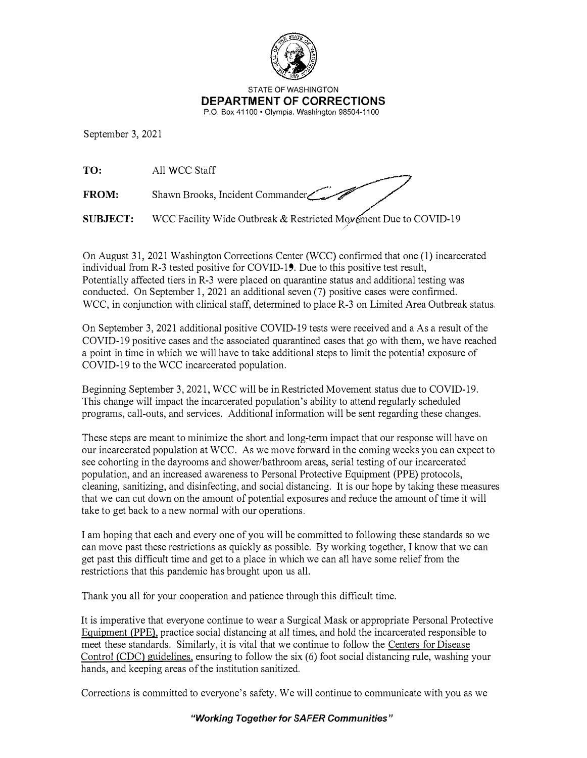

STATE OF WASHINGTON **DEPARTMENT OF CORRECTIONS**  P.O. Box 41100 • Olympia, Washington 98504-1100

September 3, 2021

**TO:** All WCC Staff

**FROM:** Shawn Brooks, Incident Commander

**SUBJECT:** WCC Facility Wide Outbreak & Restricted Movement Due to COVID-19

On August 31, 2021 Washington Corrections Center (WCC) confirmed that one (I) incarcerated individual from R-3 tested positive for COVID-19. Due to this positive test result, Potentially affected tiers in R-3 were placed on quarantine status and additional testing was conducted. On September 1, 2021 an additional seven (7) positive cases were confirmed. WCC, in conjunction with clinical staff, determined to place R-3 on Limited Area Outbreak status.

On September 3, 2021 additional positive COVID-19 tests were received and a As a result of the COVID-19 positive cases and the associated quarantined cases that go with them, we have reached a point in time in which we will have to take additional steps to limit the potential exposure of COVID-19 to the WCC incarcerated population.

Beginning September 3, 2021, WCC will be in Restricted Movement status due to COVID-19. This change will impact the incarcerated population's ability to attend regularly scheduled programs, call-outs, and services. Additional information will be sent regarding these changes.

These steps are meant to minimize the short and long-term impact that our response will have on our incarcerated population at WCC. As we move forward in the coming weeks you can expect to see cohorting in the dayrooms and shower/bathroom areas, serial testing of our incarcerated population, and an increased awareness to Personal Protective Equipment (PPE) protocols, cleaning, sanitizing, and disinfecting, and social distancing. It is our hope by taking these measures that we can cut down on the amount of potential exposures and reduce the amount of time it will take to get back to a new normal with our operations.

I am hoping that each and every one of you will be committed to following these standards so we can move past these restrictions as quickly as possible. By working together, I know that we can get past this difficult time and get to a place in which we can all have some relief from the restrictions that this pandemic has brought upon us all.

Thank you all for your cooperation and patience through this difficult time.

It is imperative that everyone continue to wear a Surgical Mask or appropriate Personal Protective Equipment **(PPE),** practice social distancing at all times, and hold the incarcerated responsible to meet these standards. Similarly, it is vital that we continue to follow the Centers for Disease Control *(CDC)* guidelines, ensuring to follow the six (6) foot social distancing rule, washing your hands, and keeping areas of the institution sanitized.

Corrections is committed to everyone's safety. We will continue to communicate with you as we

## *"Working Together for SAFER Communities"*